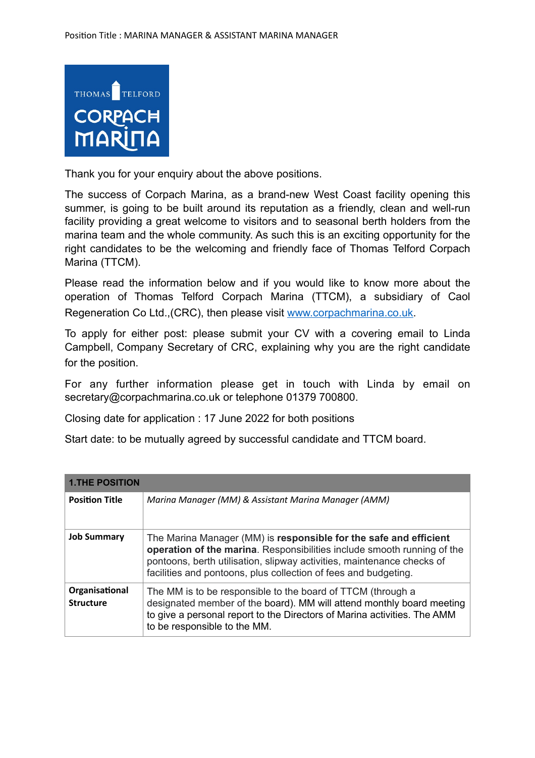

Thank you for your enquiry about the above positions.

The success of Corpach Marina, as a brand-new West Coast facility opening this summer, is going to be built around its reputation as a friendly, clean and well-run facility providing a great welcome to visitors and to seasonal berth holders from the marina team and the whole community. As such this is an exciting opportunity for the right candidates to be the welcoming and friendly face of Thomas Telford Corpach Marina (TTCM).

Please read the information below and if you would like to know more about the operation of Thomas Telford Corpach Marina (TTCM), a subsidiary of Caol Regeneration Co Ltd.,(CRC), then please visit [www.corpachmarina.co.uk.](http://www.corpachmarina.co.uk)

To apply for either post: please submit your CV with a covering email to Linda Campbell, Company Secretary of CRC, explaining why you are the right candidate for the position.

For any further information please get in touch with Linda by email on secretary@corpachmarina.co.uk or telephone 01379 700800.

Closing date for application : 17 June 2022 for both positions

Start date: to be mutually agreed by successful candidate and TTCM board.

| <b>1.THE POSITION</b>              |                                                                                                                                                                                                                                                                                           |  |
|------------------------------------|-------------------------------------------------------------------------------------------------------------------------------------------------------------------------------------------------------------------------------------------------------------------------------------------|--|
| <b>Position Title</b>              | Marina Manager (MM) & Assistant Marina Manager (AMM)                                                                                                                                                                                                                                      |  |
| <b>Job Summary</b>                 | The Marina Manager (MM) is responsible for the safe and efficient<br>operation of the marina. Responsibilities include smooth running of the<br>pontoons, berth utilisation, slipway activities, maintenance checks of<br>facilities and pontoons, plus collection of fees and budgeting. |  |
| Organisational<br><b>Structure</b> | The MM is to be responsible to the board of TTCM (through a<br>designated member of the board). MM will attend monthly board meeting<br>to give a personal report to the Directors of Marina activities. The AMM<br>to be responsible to the MM.                                          |  |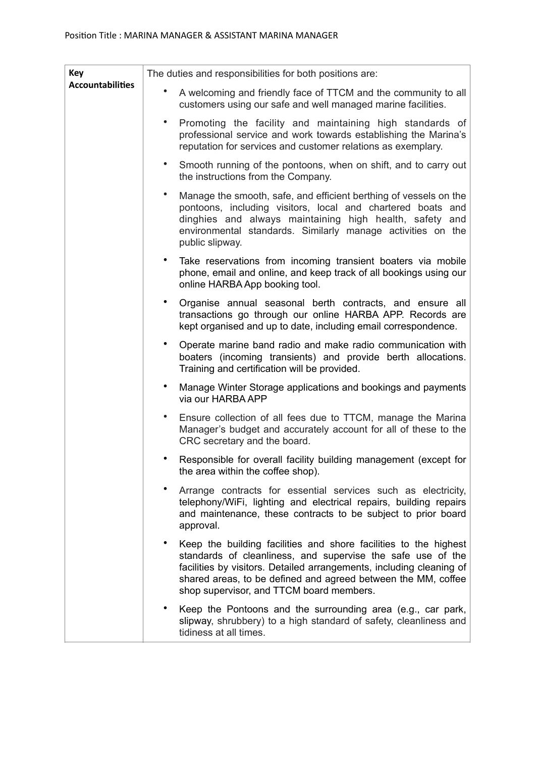| Key<br><b>Accountabilities</b> | The duties and responsibilities for both positions are:                                                                                                                                                                                                                                                              |
|--------------------------------|----------------------------------------------------------------------------------------------------------------------------------------------------------------------------------------------------------------------------------------------------------------------------------------------------------------------|
|                                | A welcoming and friendly face of TTCM and the community to all<br>customers using our safe and well managed marine facilities.                                                                                                                                                                                       |
|                                | Promoting the facility and maintaining high standards of<br>professional service and work towards establishing the Marina's<br>reputation for services and customer relations as exemplary.                                                                                                                          |
|                                | Smooth running of the pontoons, when on shift, and to carry out<br>the instructions from the Company.                                                                                                                                                                                                                |
|                                | Manage the smooth, safe, and efficient berthing of vessels on the<br>pontoons, including visitors, local and chartered boats and<br>dinghies and always maintaining high health, safety and<br>environmental standards. Similarly manage activities on the<br>public slipway.                                        |
|                                | Take reservations from incoming transient boaters via mobile<br>phone, email and online, and keep track of all bookings using our<br>online HARBA App booking tool.                                                                                                                                                  |
|                                | Organise annual seasonal berth contracts, and ensure all<br>transactions go through our online HARBA APP. Records are<br>kept organised and up to date, including email correspondence.                                                                                                                              |
|                                | Operate marine band radio and make radio communication with<br>boaters (incoming transients) and provide berth allocations.<br>Training and certification will be provided.                                                                                                                                          |
|                                | Manage Winter Storage applications and bookings and payments<br>via our HARBA APP                                                                                                                                                                                                                                    |
|                                | Ensure collection of all fees due to TTCM, manage the Marina<br>Manager's budget and accurately account for all of these to the<br>CRC secretary and the board.                                                                                                                                                      |
|                                | Responsible for overall facility building management (except for<br>the area within the coffee shop).                                                                                                                                                                                                                |
|                                | Arrange contracts for essential services such as electricity,<br>telephony/WiFi, lighting and electrical repairs, building repairs<br>and maintenance, these contracts to be subject to prior board<br>approval.                                                                                                     |
|                                | Keep the building facilities and shore facilities to the highest<br>standards of cleanliness, and supervise the safe use of the<br>facilities by visitors. Detailed arrangements, including cleaning of<br>shared areas, to be defined and agreed between the MM, coffee<br>shop supervisor, and TTCM board members. |
|                                | Keep the Pontoons and the surrounding area (e.g., car park,<br>slipway, shrubbery) to a high standard of safety, cleanliness and<br>tidiness at all times.                                                                                                                                                           |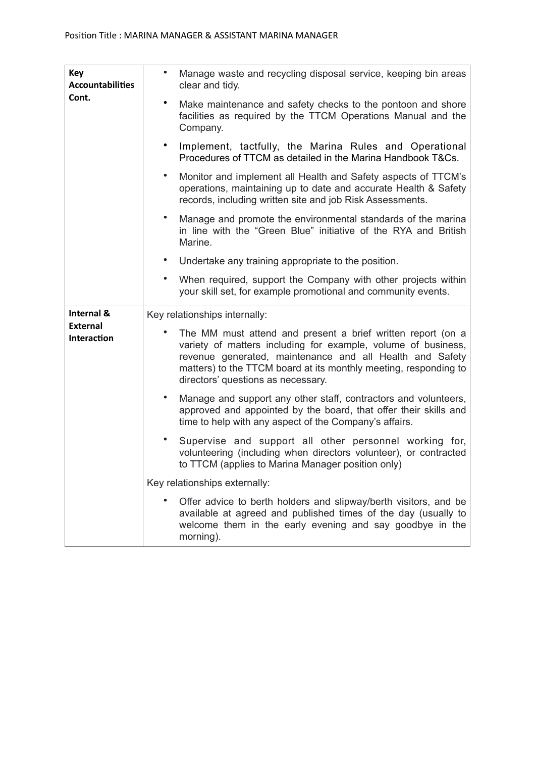| <b>Key</b><br><b>Accountabilities</b><br>Cont. | $\bullet$<br>Manage waste and recycling disposal service, keeping bin areas<br>clear and tidy.                                                                                                                                                                                                     |
|------------------------------------------------|----------------------------------------------------------------------------------------------------------------------------------------------------------------------------------------------------------------------------------------------------------------------------------------------------|
|                                                | Make maintenance and safety checks to the pontoon and shore<br>facilities as required by the TTCM Operations Manual and the<br>Company.                                                                                                                                                            |
|                                                | Implement, tactfully, the Marina Rules and Operational<br>Procedures of TTCM as detailed in the Marina Handbook T&Cs.                                                                                                                                                                              |
|                                                | Monitor and implement all Health and Safety aspects of TTCM's<br>$\bullet$<br>operations, maintaining up to date and accurate Health & Safety<br>records, including written site and job Risk Assessments.                                                                                         |
|                                                | Manage and promote the environmental standards of the marina<br>$\bullet$<br>in line with the "Green Blue" initiative of the RYA and British<br>Marine.                                                                                                                                            |
|                                                | Undertake any training appropriate to the position.                                                                                                                                                                                                                                                |
|                                                | $\bullet$<br>When required, support the Company with other projects within<br>your skill set, for example promotional and community events.                                                                                                                                                        |
| Internal &<br><b>External</b><br>Interaction   | Key relationships internally:                                                                                                                                                                                                                                                                      |
|                                                | The MM must attend and present a brief written report (on a<br>variety of matters including for example, volume of business,<br>revenue generated, maintenance and all Health and Safety<br>matters) to the TTCM board at its monthly meeting, responding to<br>directors' questions as necessary. |
|                                                | Manage and support any other staff, contractors and volunteers,<br>٠<br>approved and appointed by the board, that offer their skills and<br>time to help with any aspect of the Company's affairs.                                                                                                 |
|                                                | Supervise and support all other personnel working for,<br>$\bullet$<br>volunteering (including when directors volunteer), or contracted<br>to TTCM (applies to Marina Manager position only)                                                                                                       |
|                                                | Key relationships externally:                                                                                                                                                                                                                                                                      |
|                                                | Offer advice to berth holders and slipway/berth visitors, and be                                                                                                                                                                                                                                   |